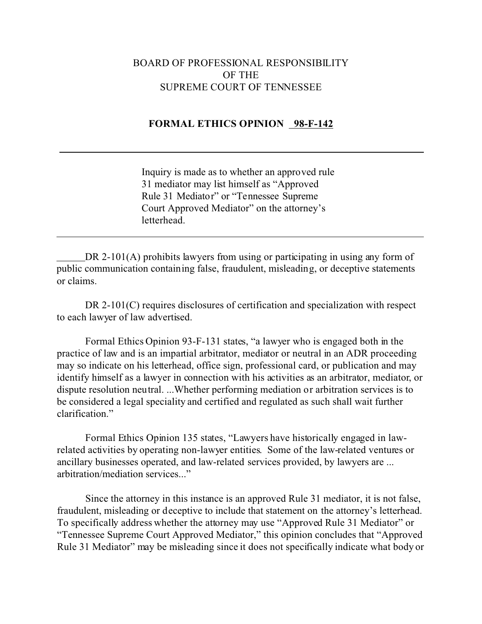## BOARD OF PROFESSIONAL RESPONSIBILITY OF THE SUPREME COURT OF TENNESSEE

## **FORMAL ETHICS OPINION 98-F-142**

 $\overline{a}$ 

 $\overline{a}$ 

Inquiry is made as to whether an approved rule 31 mediator may list himself as "Approved Rule 31 Mediator" or "Tennessee Supreme Court Approved Mediator" on the attorney's letterhead.

DR 2-101(A) prohibits lawyers from using or participating in using any form of public communication containing false, fraudulent, misleading, or deceptive statements or claims.

DR 2-101(C) requires disclosures of certification and specialization with respect to each lawyer of law advertised.

Formal Ethics Opinion 93-F-131 states, "a lawyer who is engaged both in the practice of law and is an impartial arbitrator, mediator or neutral in an ADR proceeding may so indicate on his letterhead, office sign, professional card, or publication and may identify himself as a lawyer in connection with his activities as an arbitrator, mediator, or dispute resolution neutral. ...Whether performing mediation or arbitration services is to be considered a legal speciality and certified and regulated as such shall wait further clarification."

Formal Ethics Opinion 135 states, "Lawyers have historically engaged in lawrelated activities by operating non-lawyer entities. Some of the law-related ventures or ancillary businesses operated, and law-related services provided, by lawyers are ... arbitration/mediation services..."

Since the attorney in this instance is an approved Rule 31 mediator, it is not false, fraudulent, misleading or deceptive to include that statement on the attorney's letterhead. To specifically address whether the attorney may use "Approved Rule 31 Mediator" or "Tennessee Supreme Court Approved Mediator," this opinion concludes that "Approved Rule 31 Mediator" may be misleading since it does not specifically indicate what body or